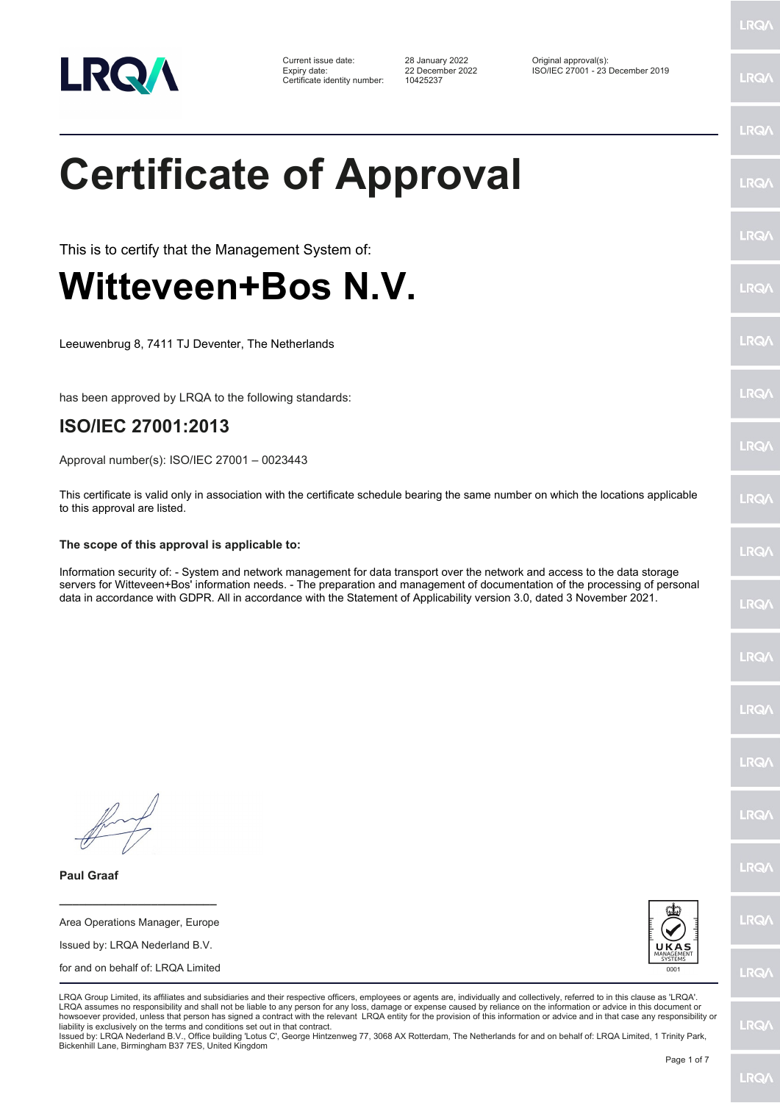

| Current issue date:          |  |
|------------------------------|--|
| Expiry date:                 |  |
| Certificate identity number: |  |

Certificate identity number: 10425237

Current issue date: 28 January 2022 Original approval(s): Expiry date: 22 December 2022 ISO/IEC 27001 - 23 December 2019

## **Certificate of Approval**

This is to certify that the Management System of:

## **Witteveen+Bos N.V.**

Leeuwenbrug 8, 7411 TJ Deventer, The Netherlands

has been approved by LRQA to the following standards:

## **ISO/IEC 27001:2013**

Approval number(s): ISO/IEC 27001 – 0023443

This certificate is valid only in association with the certificate schedule bearing the same number on which the locations applicable to this approval are listed.

## **The scope of this approval is applicable to:**

Information security of: - System and network management for data transport over the network and access to the data storage servers for Witteveen+Bos' information needs. - The preparation and management of documentation of the processing of personal data in accordance with GDPR. All in accordance with the Statement of Applicability version 3.0, dated 3 November 2021.

**Paul Graaf**

Area Operations Manager, Europe Issued by: LRQA Nederland B.V. for and on behalf of: LRQA Limited

**\_\_\_\_\_\_\_\_\_\_\_\_\_\_\_\_\_\_\_\_\_\_\_\_**



LRQA Group Limited, its affiliates and subsidiaries and their respective officers, employees or agents are, individually and collectively, referred to in this clause as 'LRQA'. LRQA assumes no responsibility and shall not be liable to any person for any loss, damage or expense caused by reliance on the information or advice in this document or howsoever provided, unless that person has signed a contract with the relevant LRQA entity for the provision of this information or advice and in that case any responsibility or liability is exclusively on the terms and conditions set out in that contract.

Issued by: LRQA Nederland B.V., Office building 'Lotus C', George Hintzenweg 77, 3068 AX Rotterdam, The Netherlands for and on behalf of: LRQA Limited, 1 Trinity Park, Bickenhill Lane, Birmingham B37 7ES, United Kingdom

**LRQ/** 

LRQ/

LRQ/

LRQ/

LRQ/

LRQ/

LRQ/

LRQ/

**LRQA** 

LRQ/

LRQ/

LRQ/

LRQ/

LRQ/

LRQ/

**IRQA** 

LRQ/

LRQ/

**LRQ/**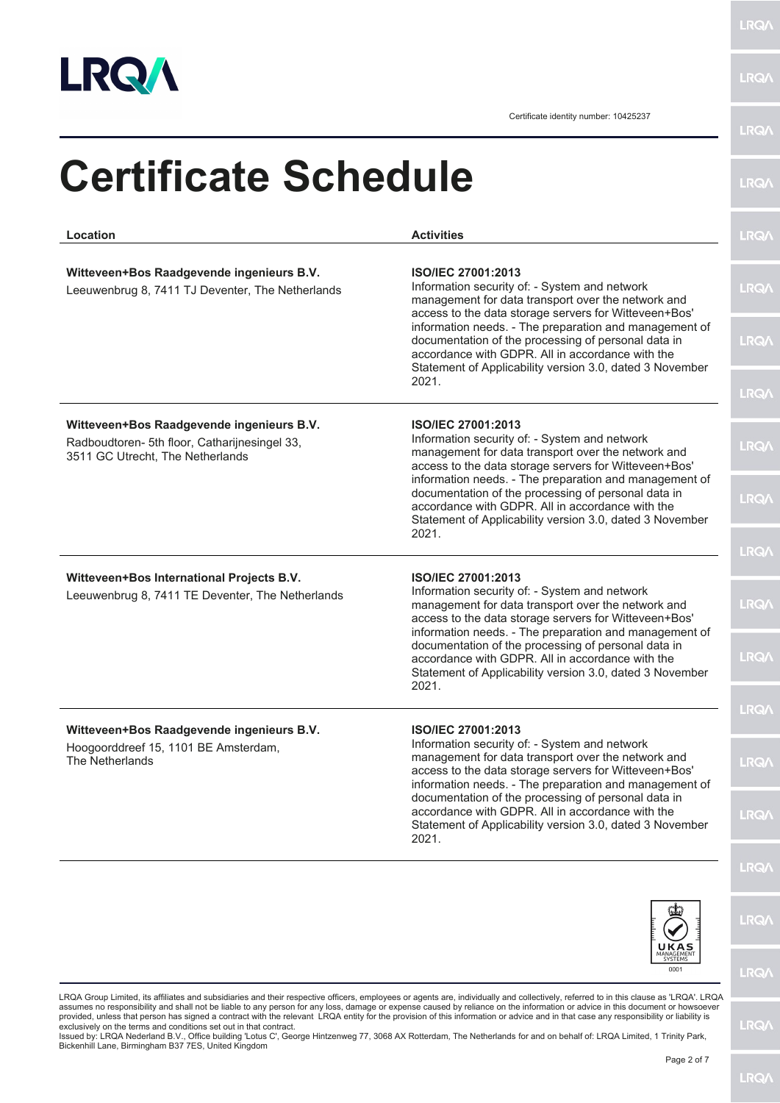

Certificate identity number: 10425237

| Location                                                                                                                                                                                                                                                                                                                                                               | <b>Activities</b>                                                                                                                                                                                                                                                                                                                                                                                                                   |
|------------------------------------------------------------------------------------------------------------------------------------------------------------------------------------------------------------------------------------------------------------------------------------------------------------------------------------------------------------------------|-------------------------------------------------------------------------------------------------------------------------------------------------------------------------------------------------------------------------------------------------------------------------------------------------------------------------------------------------------------------------------------------------------------------------------------|
| Witteveen+Bos Raadgevende ingenieurs B.V.<br>Leeuwenbrug 8, 7411 TJ Deventer, The Netherlands                                                                                                                                                                                                                                                                          | <b>ISO/IEC 27001:2013</b><br>Information security of: - System and network<br>management for data transport over the network and<br>access to the data storage servers for Witteveen+Bos'                                                                                                                                                                                                                                           |
|                                                                                                                                                                                                                                                                                                                                                                        | information needs. - The preparation and management of<br>documentation of the processing of personal data in<br>accordance with GDPR. All in accordance with the<br>Statement of Applicability version 3.0, dated 3 November<br>2021.                                                                                                                                                                                              |
| Witteveen+Bos Raadgevende ingenieurs B.V.<br>ISO/IEC 27001:2013<br>Information security of: - System and network<br>Radboudtoren- 5th floor, Catharijnesingel 33,<br>3511 GC Utrecht, The Netherlands<br>access to the data storage servers for Witteveen+Bos'<br>accordance with GDPR. All in accordance with the                                                     | management for data transport over the network and                                                                                                                                                                                                                                                                                                                                                                                  |
|                                                                                                                                                                                                                                                                                                                                                                        | information needs. - The preparation and management of<br>documentation of the processing of personal data in<br>Statement of Applicability version 3.0, dated 3 November                                                                                                                                                                                                                                                           |
|                                                                                                                                                                                                                                                                                                                                                                        | 2021.                                                                                                                                                                                                                                                                                                                                                                                                                               |
| Witteveen+Bos International Projects B.V.<br>Leeuwenbrug 8, 7411 TE Deventer, The Netherlands                                                                                                                                                                                                                                                                          | <b>ISO/IEC 27001:2013</b><br>Information security of: - System and network<br>management for data transport over the network and<br>access to the data storage servers for Witteveen+Bos'<br>information needs. - The preparation and management of<br>documentation of the processing of personal data in<br>accordance with GDPR. All in accordance with the<br>Statement of Applicability version 3.0, dated 3 November<br>2021. |
|                                                                                                                                                                                                                                                                                                                                                                        |                                                                                                                                                                                                                                                                                                                                                                                                                                     |
| Witteveen+Bos Raadgevende ingenieurs B.V.                                                                                                                                                                                                                                                                                                                              | ISO/IEC 27001:2013                                                                                                                                                                                                                                                                                                                                                                                                                  |
| Information security of: - System and network<br>Hoogoorddreef 15, 1101 BE Amsterdam,<br>management for data transport over the network and<br>The Netherlands<br>access to the data storage servers for Witteveen+Bos'<br>documentation of the processing of personal data in<br>accordance with GDPR. All in accordance with the<br>2021.<br>UKAS<br>SYSTEMS<br>0001 | information needs. - The preparation and management of                                                                                                                                                                                                                                                                                                                                                                              |
|                                                                                                                                                                                                                                                                                                                                                                        | Statement of Applicability version 3.0, dated 3 November                                                                                                                                                                                                                                                                                                                                                                            |
|                                                                                                                                                                                                                                                                                                                                                                        |                                                                                                                                                                                                                                                                                                                                                                                                                                     |
|                                                                                                                                                                                                                                                                                                                                                                        |                                                                                                                                                                                                                                                                                                                                                                                                                                     |
|                                                                                                                                                                                                                                                                                                                                                                        |                                                                                                                                                                                                                                                                                                                                                                                                                                     |

Issued by: LRQA Nederland B.V., Office building 'Lotus C', George Hintzenweg 77, 3068 AX Rotterdam, The Netherlands for and on behalf of: LRQA Limited, 1 Trinity Park,<br>Bickenhill Lane, Birmingham B37 7ES, United Kingdom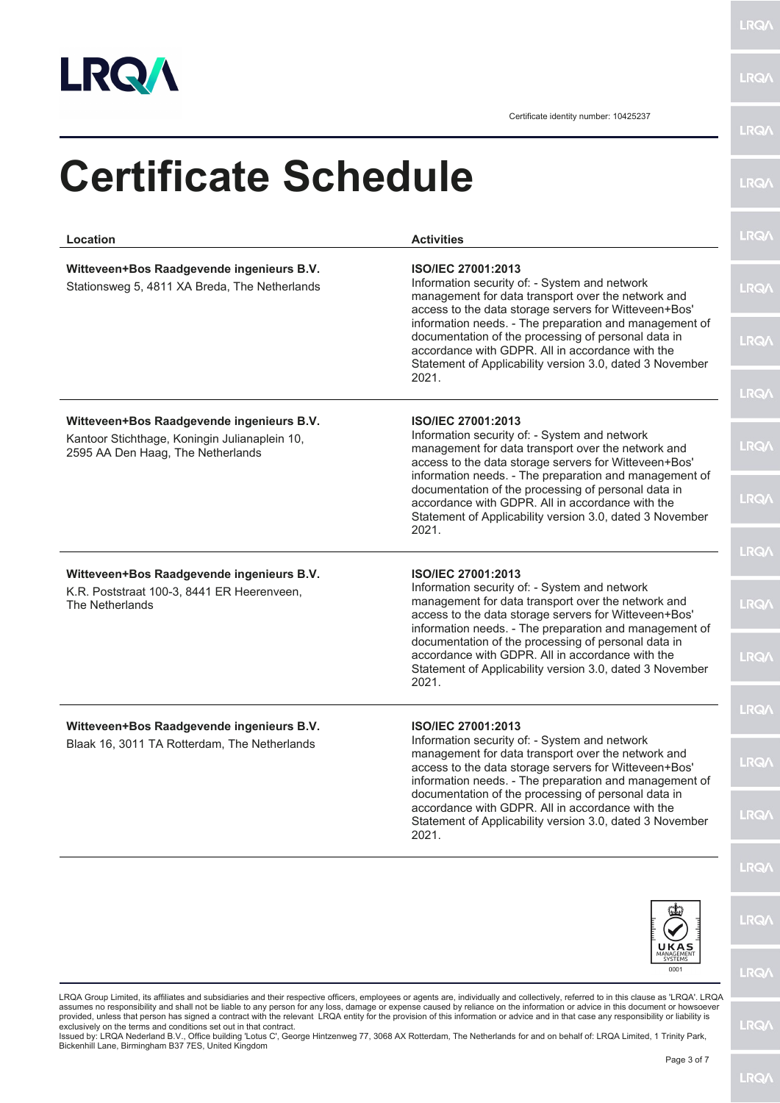

Certificate identity number: 10425237

| Location                                                                                                                        | <b>Activities</b>                                                                                                                                                                                                                                   | <b>LRQ/</b>  |
|---------------------------------------------------------------------------------------------------------------------------------|-----------------------------------------------------------------------------------------------------------------------------------------------------------------------------------------------------------------------------------------------------|--------------|
| Witteveen+Bos Raadgevende ingenieurs B.V.<br>Stationsweg 5, 4811 XA Breda, The Netherlands                                      | ISO/IEC 27001:2013<br>Information security of: - System and network<br>management for data transport over the network and<br>access to the data storage servers for Witteveen+Bos'                                                                  | <b>LRQA</b>  |
|                                                                                                                                 | information needs. - The preparation and management of<br>documentation of the processing of personal data in<br>accordance with GDPR. All in accordance with the<br>Statement of Applicability version 3.0, dated 3 November<br>2021.              | <b>LRQ/</b>  |
|                                                                                                                                 |                                                                                                                                                                                                                                                     | <b>LRQ/</b>  |
| Witteveen+Bos Raadgevende ingenieurs B.V.<br>Kantoor Stichthage, Koningin Julianaplein 10,<br>2595 AA Den Haag, The Netherlands | <b>ISO/IEC 27001:2013</b><br>Information security of: - System and network<br>management for data transport over the network and<br>access to the data storage servers for Witteveen+Bos'<br>information needs. - The preparation and management of | <b>LRQ/\</b> |
|                                                                                                                                 | documentation of the processing of personal data in<br>accordance with GDPR. All in accordance with the<br>Statement of Applicability version 3.0, dated 3 November<br>2021.                                                                        | <b>LRQA</b>  |
|                                                                                                                                 |                                                                                                                                                                                                                                                     | <b>LRQ/</b>  |
| Witteveen+Bos Raadgevende ingenieurs B.V.<br>K.R. Poststraat 100-3, 8441 ER Heerenveen,<br>The Netherlands                      | ISO/IEC 27001:2013<br>Information security of: - System and network<br>management for data transport over the network and<br>access to the data storage servers for Witteveen+Bos'<br>information needs. - The preparation and management of        | <b>LRQA</b>  |
|                                                                                                                                 | documentation of the processing of personal data in<br>accordance with GDPR. All in accordance with the<br>Statement of Applicability version 3.0, dated 3 November<br>2021.                                                                        | <b>LRQ/</b>  |
|                                                                                                                                 |                                                                                                                                                                                                                                                     | LRQ/         |
| Witteveen+Bos Raadgevende ingenieurs B.V.<br>Blaak 16, 3011 TA Rotterdam, The Netherlands                                       | <b>ISO/IEC 27001:2013</b><br>Information security of: - System and network<br>management for data transport over the network and                                                                                                                    |              |
|                                                                                                                                 | access to the data storage servers for Witteveen+Bos'<br>information needs. - The preparation and management of                                                                                                                                     | <b>LRQ/</b>  |
|                                                                                                                                 | documentation of the processing of personal data in<br>accordance with GDPR. All in accordance with the<br>Statement of Applicability version 3.0, dated 3 November<br>2021.                                                                        | <b>LRQ/</b>  |
|                                                                                                                                 |                                                                                                                                                                                                                                                     | <b>LRQ/</b>  |
|                                                                                                                                 |                                                                                                                                                                                                                                                     | <b>LRQ/</b>  |
|                                                                                                                                 | UKAS                                                                                                                                                                                                                                                |              |
|                                                                                                                                 | 0001                                                                                                                                                                                                                                                | <b>LRQ/</b>  |

assumes no responsibility and shall not be liable to any person for any loss, damage or expense caused by reliance on the information or advice in this document or howsoever<br>provided, unless that person has signed a contra

**LRQA**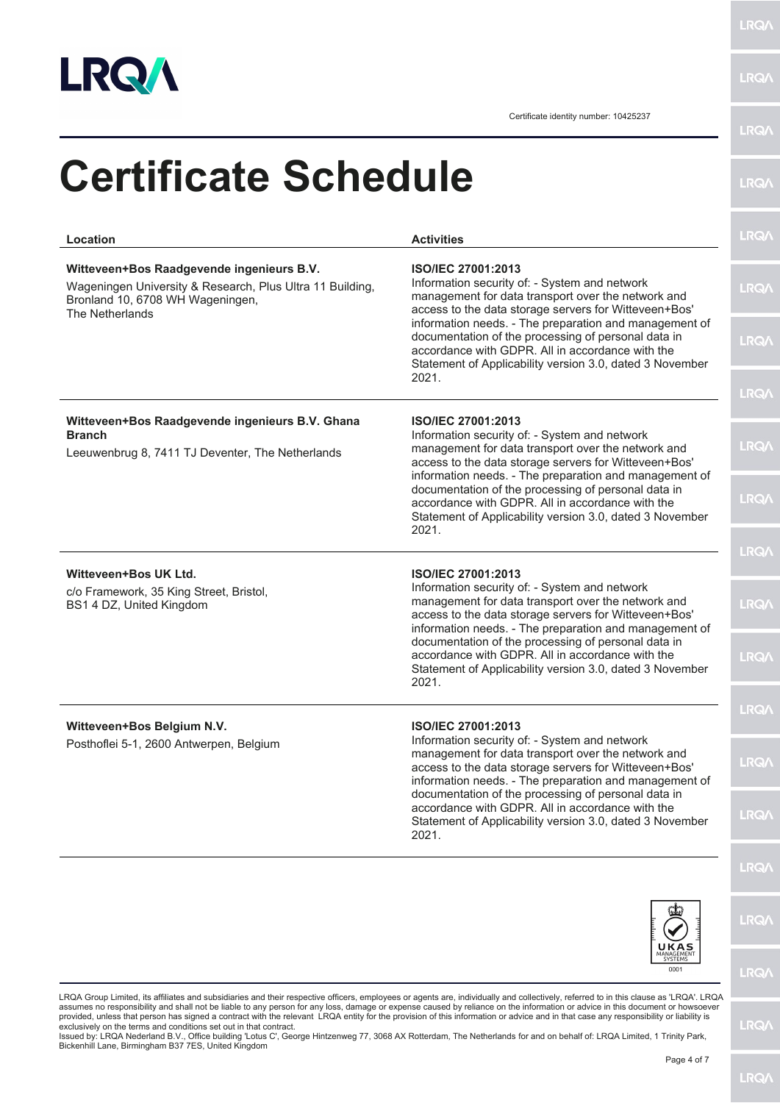

Certificate identity number: 10425237

| Location                                                                                                                                                                                                                                                                                                                                                                                                                                                               | <b>Activities</b>                                                                                                                                                                                                                                   | <b>LRQA</b> |
|------------------------------------------------------------------------------------------------------------------------------------------------------------------------------------------------------------------------------------------------------------------------------------------------------------------------------------------------------------------------------------------------------------------------------------------------------------------------|-----------------------------------------------------------------------------------------------------------------------------------------------------------------------------------------------------------------------------------------------------|-------------|
| Witteveen+Bos Raadgevende ingenieurs B.V.<br>Wageningen University & Research, Plus Ultra 11 Building,<br>Bronland 10, 6708 WH Wageningen,<br>The Netherlands                                                                                                                                                                                                                                                                                                          | ISO/IEC 27001:2013<br>Information security of: - System and network<br>management for data transport over the network and<br>access to the data storage servers for Witteveen+Bos'                                                                  | <b>LRQA</b> |
|                                                                                                                                                                                                                                                                                                                                                                                                                                                                        | information needs. - The preparation and management of<br>documentation of the processing of personal data in<br>accordance with GDPR. All in accordance with the<br>Statement of Applicability version 3.0, dated 3 November<br>2021.              | <b>LRQA</b> |
|                                                                                                                                                                                                                                                                                                                                                                                                                                                                        |                                                                                                                                                                                                                                                     | <b>LRQA</b> |
| Witteveen+Bos Raadgevende ingenieurs B.V. Ghana<br><b>Branch</b><br>Leeuwenbrug 8, 7411 TJ Deventer, The Netherlands                                                                                                                                                                                                                                                                                                                                                   | <b>ISO/IEC 27001:2013</b><br>Information security of: - System and network<br>management for data transport over the network and<br>access to the data storage servers for Witteveen+Bos'<br>information needs. - The preparation and management of | <b>LRQA</b> |
|                                                                                                                                                                                                                                                                                                                                                                                                                                                                        | documentation of the processing of personal data in<br>accordance with GDPR. All in accordance with the<br>Statement of Applicability version 3.0, dated 3 November<br>2021.                                                                        | <b>LRQA</b> |
|                                                                                                                                                                                                                                                                                                                                                                                                                                                                        |                                                                                                                                                                                                                                                     | <b>LRQ/</b> |
| Witteveen+Bos UK Ltd.<br>c/o Framework, 35 King Street, Bristol,<br>BS1 4 DZ, United Kingdom                                                                                                                                                                                                                                                                                                                                                                           | ISO/IEC 27001:2013<br>Information security of: - System and network<br>management for data transport over the network and<br>access to the data storage servers for Witteveen+Bos'                                                                  | <b>LRQA</b> |
|                                                                                                                                                                                                                                                                                                                                                                                                                                                                        | information needs. - The preparation and management of<br>documentation of the processing of personal data in<br>accordance with GDPR. All in accordance with the<br>Statement of Applicability version 3.0, dated 3 November<br>2021.              | <b>LRQA</b> |
|                                                                                                                                                                                                                                                                                                                                                                                                                                                                        |                                                                                                                                                                                                                                                     | LRQ/        |
| ISO/IEC 27001:2013<br>Witteveen+Bos Belgium N.V.<br>Information security of: - System and network<br>Posthoflei 5-1, 2600 Antwerpen, Belgium<br>management for data transport over the network and<br>access to the data storage servers for Witteveen+Bos'<br>documentation of the processing of personal data in<br>accordance with GDPR. All in accordance with the<br>Statement of Applicability version 3.0, dated 3 November<br>2021.<br>UKAS<br>SYSTEMS<br>0001 | information needs. - The preparation and management of                                                                                                                                                                                              | <b>LRQA</b> |
|                                                                                                                                                                                                                                                                                                                                                                                                                                                                        | <b>LRQ/</b>                                                                                                                                                                                                                                         |             |
|                                                                                                                                                                                                                                                                                                                                                                                                                                                                        |                                                                                                                                                                                                                                                     | <b>LRQ/</b> |
|                                                                                                                                                                                                                                                                                                                                                                                                                                                                        |                                                                                                                                                                                                                                                     | <b>LRQA</b> |
|                                                                                                                                                                                                                                                                                                                                                                                                                                                                        |                                                                                                                                                                                                                                                     | <b>LRQA</b> |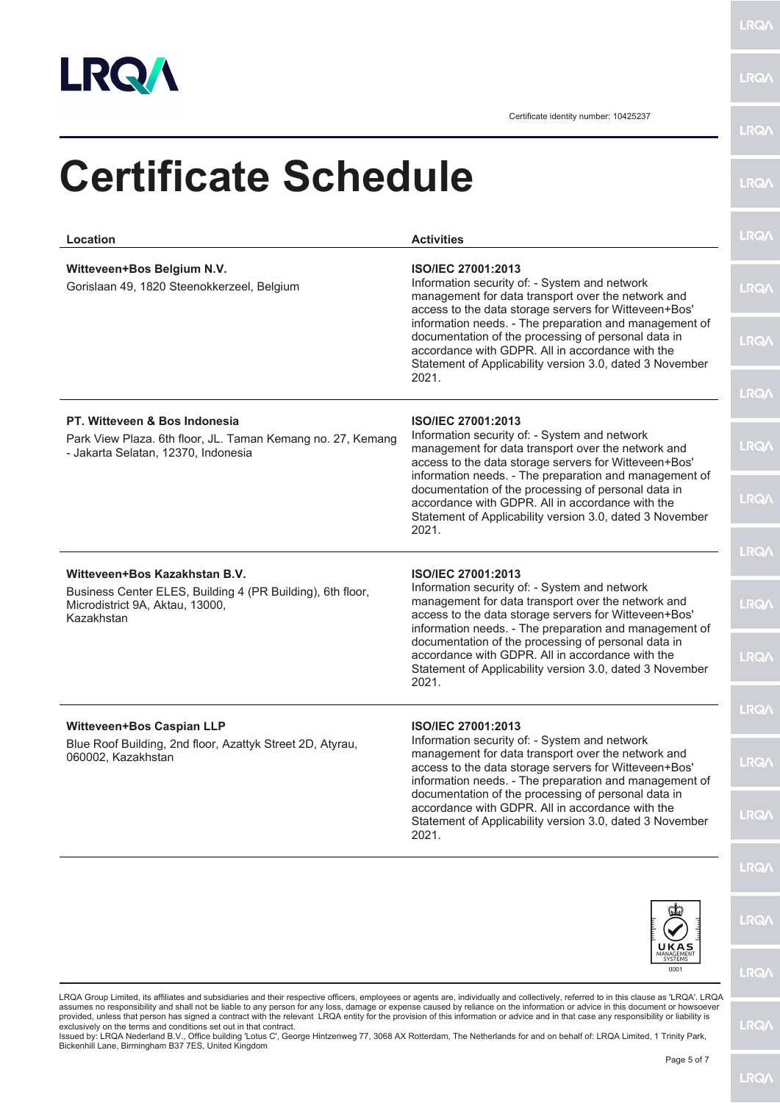

LRQ/\

Certificate identity number: 10425237

| Location                                                                                                                                                                                                                                                                                                                                                                                                                                                                                                                                                                                                                                                                                                                                                                                                                                                              | <b>Activities</b>                                                                                                                                                                                                                            | LRQ/        |
|-----------------------------------------------------------------------------------------------------------------------------------------------------------------------------------------------------------------------------------------------------------------------------------------------------------------------------------------------------------------------------------------------------------------------------------------------------------------------------------------------------------------------------------------------------------------------------------------------------------------------------------------------------------------------------------------------------------------------------------------------------------------------------------------------------------------------------------------------------------------------|----------------------------------------------------------------------------------------------------------------------------------------------------------------------------------------------------------------------------------------------|-------------|
| Witteveen+Bos Belgium N.V.<br>Gorislaan 49, 1820 Steenokkerzeel, Belgium                                                                                                                                                                                                                                                                                                                                                                                                                                                                                                                                                                                                                                                                                                                                                                                              | <b>ISO/IEC 27001:2013</b><br>Information security of: - System and network<br>management for data transport over the network and<br>access to the data storage servers for Witteveen+Bos'                                                    | <b>LRQA</b> |
|                                                                                                                                                                                                                                                                                                                                                                                                                                                                                                                                                                                                                                                                                                                                                                                                                                                                       | information needs. - The preparation and management of<br>documentation of the processing of personal data in<br>accordance with GDPR. All in accordance with the<br>Statement of Applicability version 3.0, dated 3 November<br>2021.       | <b>LRQA</b> |
|                                                                                                                                                                                                                                                                                                                                                                                                                                                                                                                                                                                                                                                                                                                                                                                                                                                                       |                                                                                                                                                                                                                                              | <b>LRQ/</b> |
| PT. Witteveen & Bos Indonesia<br><b>ISO/IEC 27001:2013</b><br>Information security of: - System and network<br>Park View Plaza. 6th floor, JL. Taman Kemang no. 27, Kemang<br>management for data transport over the network and<br>- Jakarta Selatan, 12370, Indonesia<br>access to the data storage servers for Witteveen+Bos'<br>information needs. - The preparation and management of<br>documentation of the processing of personal data in<br>accordance with GDPR. All in accordance with the<br>Statement of Applicability version 3.0, dated 3 November<br>2021.                                                                                                                                                                                                                                                                                            |                                                                                                                                                                                                                                              | <b>LRQA</b> |
|                                                                                                                                                                                                                                                                                                                                                                                                                                                                                                                                                                                                                                                                                                                                                                                                                                                                       | <b>LRQA</b>                                                                                                                                                                                                                                  |             |
|                                                                                                                                                                                                                                                                                                                                                                                                                                                                                                                                                                                                                                                                                                                                                                                                                                                                       |                                                                                                                                                                                                                                              | <b>LRQA</b> |
| Witteveen+Bos Kazakhstan B.V.<br>Business Center ELES, Building 4 (PR Building), 6th floor,<br>Microdistrict 9A, Aktau, 13000,<br>Kazakhstan                                                                                                                                                                                                                                                                                                                                                                                                                                                                                                                                                                                                                                                                                                                          | ISO/IEC 27001:2013<br>Information security of: - System and network<br>management for data transport over the network and<br>access to the data storage servers for Witteveen+Bos'<br>information needs. - The preparation and management of | <b>LRQA</b> |
|                                                                                                                                                                                                                                                                                                                                                                                                                                                                                                                                                                                                                                                                                                                                                                                                                                                                       | documentation of the processing of personal data in<br>accordance with GDPR. All in accordance with the<br>Statement of Applicability version 3.0, dated 3 November<br>2021.                                                                 | <b>LRQ/</b> |
|                                                                                                                                                                                                                                                                                                                                                                                                                                                                                                                                                                                                                                                                                                                                                                                                                                                                       | <b>ISO/IEC 27001:2013</b>                                                                                                                                                                                                                    | <b>LRQA</b> |
| <b>Witteveen+Bos Caspian LLP</b><br>Blue Roof Building, 2nd floor, Azattyk Street 2D, Atyrau,<br>060002, Kazakhstan                                                                                                                                                                                                                                                                                                                                                                                                                                                                                                                                                                                                                                                                                                                                                   | Information security of: - System and network<br>management for data transport over the network and<br>access to the data storage servers for Witteveen+Bos'<br>information needs. - The preparation and management of                       | <b>LRQ/</b> |
|                                                                                                                                                                                                                                                                                                                                                                                                                                                                                                                                                                                                                                                                                                                                                                                                                                                                       | documentation of the processing of personal data in<br>accordance with GDPR. All in accordance with the<br>Statement of Applicability version 3.0, dated 3 November<br>2021.                                                                 | <b>LRQA</b> |
|                                                                                                                                                                                                                                                                                                                                                                                                                                                                                                                                                                                                                                                                                                                                                                                                                                                                       |                                                                                                                                                                                                                                              | <b>LRQA</b> |
|                                                                                                                                                                                                                                                                                                                                                                                                                                                                                                                                                                                                                                                                                                                                                                                                                                                                       |                                                                                                                                                                                                                                              | <b>LRQ/</b> |
|                                                                                                                                                                                                                                                                                                                                                                                                                                                                                                                                                                                                                                                                                                                                                                                                                                                                       | 0001                                                                                                                                                                                                                                         | <b>LRQ/</b> |
| LRQA Group Limited, its affiliates and subsidiaries and their respective officers, employees or agents are, individually and collectively, referred to in this clause as 'LRQA'. LRQA<br>assumes no responsibility and shall not be liable to any person for any loss, damage or expense caused by reliance on the information or advice in this document or howsoever<br>provided, unless that person has signed a contract with the relevant LRQA entity for the provision of this information or advice and in that case any responsibility or liability is<br>exclusively on the terms and conditions set out in that contract.<br>Issued by: LRQA Nederland B.V., Office building 'Lotus C', George Hintzenweg 77, 3068 AX Rotterdam, The Netherlands for and on behalf of: LRQA Limited, 1 Trinity Park,<br>Bickenhill Lane, Birmingham B37 7ES, United Kingdom |                                                                                                                                                                                                                                              | <b>LRQ/</b> |
|                                                                                                                                                                                                                                                                                                                                                                                                                                                                                                                                                                                                                                                                                                                                                                                                                                                                       | Page 5 of 7                                                                                                                                                                                                                                  |             |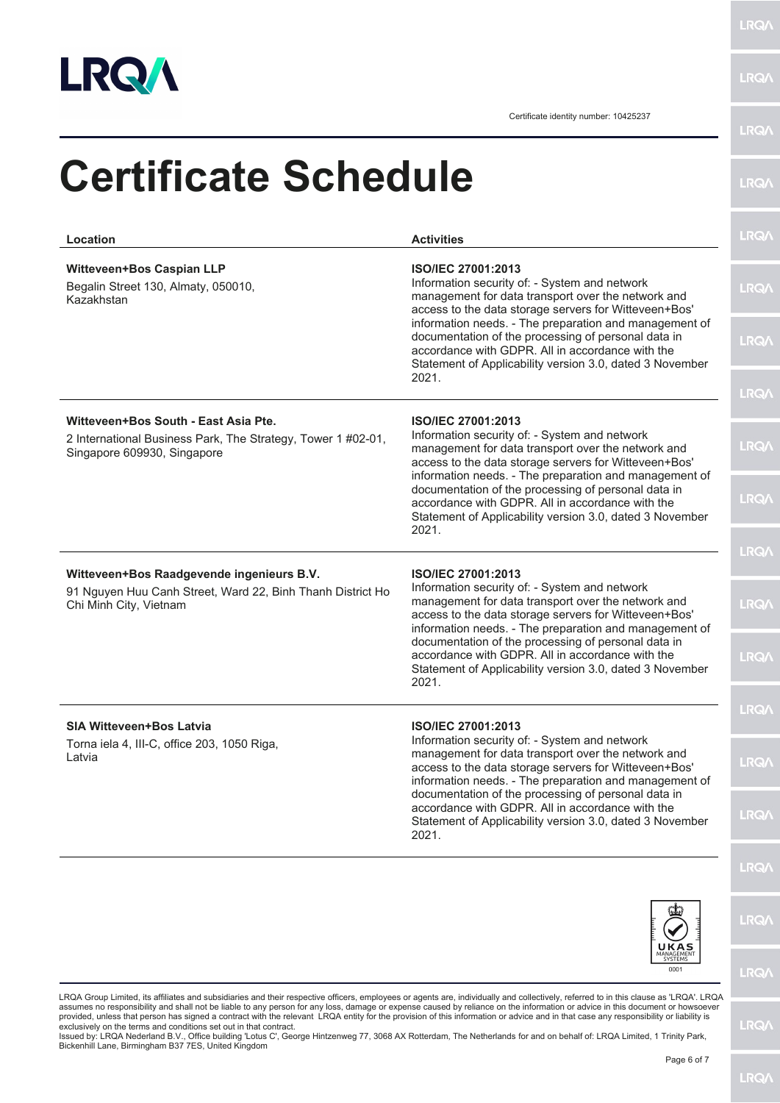

LRQ/\

Certificate identity number: 10425237

| Location                                                                                                                                     | <b>Activities</b>                                                                                                                                                                                                                                   | <b>LRQA</b> |
|----------------------------------------------------------------------------------------------------------------------------------------------|-----------------------------------------------------------------------------------------------------------------------------------------------------------------------------------------------------------------------------------------------------|-------------|
| <b>Witteveen+Bos Caspian LLP</b><br>Begalin Street 130, Almaty, 050010,<br>Kazakhstan                                                        | <b>ISO/IEC 27001:2013</b><br>Information security of: - System and network<br>management for data transport over the network and<br>access to the data storage servers for Witteveen+Bos'                                                           | <b>LRQA</b> |
|                                                                                                                                              | information needs. - The preparation and management of<br>documentation of the processing of personal data in<br>accordance with GDPR. All in accordance with the<br>Statement of Applicability version 3.0, dated 3 November<br>2021.              | <b>LRQA</b> |
|                                                                                                                                              |                                                                                                                                                                                                                                                     | <b>LRQA</b> |
| Witteveen+Bos South - East Asia Pte.<br>2 International Business Park, The Strategy, Tower 1 #02-01,<br>Singapore 609930, Singapore<br>2021. | <b>ISO/IEC 27001:2013</b><br>Information security of: - System and network<br>management for data transport over the network and<br>access to the data storage servers for Witteveen+Bos'<br>information needs. - The preparation and management of | <b>LRQA</b> |
|                                                                                                                                              | documentation of the processing of personal data in<br>accordance with GDPR. All in accordance with the<br>Statement of Applicability version 3.0, dated 3 November                                                                                 | <b>LRQA</b> |
|                                                                                                                                              |                                                                                                                                                                                                                                                     | <b>LRQ/</b> |
| Witteveen+Bos Raadgevende ingenieurs B.V.<br>91 Nguyen Huu Canh Street, Ward 22, Binh Thanh District Ho                                      | ISO/IEC 27001:2013<br>Information security of: - System and network                                                                                                                                                                                 |             |
| Chi Minh City, Vietnam                                                                                                                       | management for data transport over the network and<br>access to the data storage servers for Witteveen+Bos'<br>information needs. - The preparation and management of                                                                               | <b>LRQA</b> |
|                                                                                                                                              | documentation of the processing of personal data in<br>accordance with GDPR. All in accordance with the<br>Statement of Applicability version 3.0, dated 3 November<br>2021.                                                                        | <b>LRQA</b> |
|                                                                                                                                              | ISO/IEC 27001:2013                                                                                                                                                                                                                                  | LRQ/        |
| <b>SIA Witteveen+Bos Latvia</b><br>Torna iela 4, III-C, office 203, 1050 Riga,<br>Latvia                                                     | Information security of: - System and network<br>management for data transport over the network and<br>access to the data storage servers for Witteveen+Bos'<br>information needs. - The preparation and management of                              | <b>LRQA</b> |
|                                                                                                                                              | documentation of the processing of personal data in<br>accordance with GDPR. All in accordance with the<br>Statement of Applicability version 3.0, dated 3 November<br>2021.                                                                        | <b>LRQ/</b> |
|                                                                                                                                              |                                                                                                                                                                                                                                                     | <b>LRQ/</b> |
|                                                                                                                                              |                                                                                                                                                                                                                                                     | <b>LRQA</b> |
|                                                                                                                                              | UKAS<br><b>SYSTEMS</b><br>0001                                                                                                                                                                                                                      | <b>LRQA</b> |